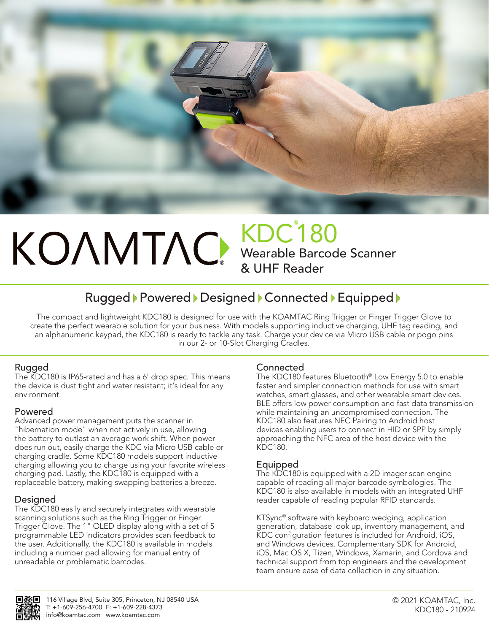

# ® KDC® 180 Wearable Barcode Scanner & UHF Reader

# Rugged Powered Designed Connected Equipped

The compact and lightweight KDC180 is designed for use with the KOAMTAC Ring Trigger or Finger Trigger Glove to create the perfect wearable solution for your business. With models supporting inductive charging, UHF tag reading, and an alphanumeric keypad, the KDC180 is ready to tackle any task. Charge your device via Micro USB cable or pogo pins in our 2- or 10-Slot Charging Cradles.

# Rugged

The KDC180 is IP65-rated and has a 6' drop spec. This means the device is dust tight and water resistant; it's ideal for any environment.

# Powered

Advanced power management puts the scanner in "hibernation mode" when not actively in use, allowing the battery to outlast an average work shift. When power does run out, easily charge the KDC via Micro USB cable or charging cradle. Some KDC180 models support inductive charging allowing you to charge using your favorite wireless charging pad. Lastly, the KDC180 is equipped with a replaceable battery, making swapping batteries a breeze.

# Designed

The KDC180 easily and securely integrates with wearable scanning solutions such as the Ring Trigger or Finger Trigger Glove. The 1" OLED display along with a set of 5 programmable LED indicators provides scan feedback to the user. Additionally, the KDC180 is available in models including a number pad allowing for manual entry of unreadable or problematic barcodes.

# **Connected**

The KDC180 features Bluetooth® Low Energy 5.0 to enable faster and simpler connection methods for use with smart watches, smart glasses, and other wearable smart devices. BLE offers low power consumption and fast data transmission while maintaining an uncompromised connection. The KDC180 also features NFC Pairing to Android host devices enabling users to connect in HID or SPP by simply approaching the NFC area of the host device with the KDC180.

# Equipped

The KDC180 is equipped with a 2D imager scan engine capable of reading all major barcode symbologies. The KDC180 is also available in models with an integrated UHF reader capable of reading popular RFID standards.

KTSync® software with keyboard wedging, application generation, database look up, inventory management, and KDC configuration features is included for Android, iOS, and Windows devices. Complementary SDK for Android, iOS, Mac OS X, Tizen, Windows, Xamarin, and Cordova and technical support from top engineers and the development team ensure ease of data collection in any situation.